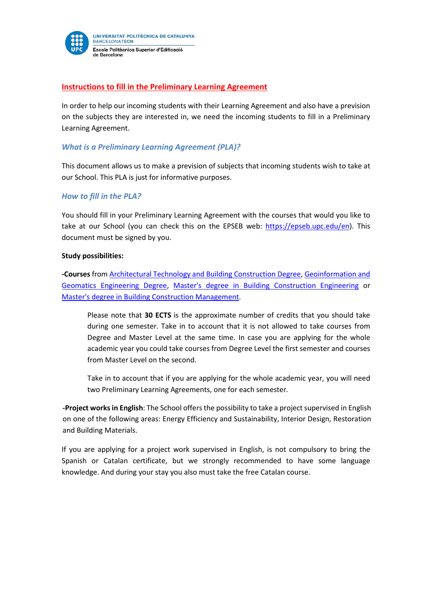

### **Instructions to fill in the Preliminary Learning Agreement**

In order to help our incoming students with their Learning Agreement and also have a prevision on the subjects they are interested in, we need the incoming students to fill in a Preliminary Learning Agreement.

### *What is a Preliminary Learning Agreement (PLA)?*

This document allows us to make a prevision of subjects that incoming students wish to take at our School. This PLA is just for informative purposes.

#### *How to fill in the PLA?*

You should fill in your Preliminary Learning Agreement with the courses that would you like to take at our School (you can check this on the EPSEB web: [https://epseb.upc.edu/en\)](https://epseb.upc.edu/en). This document must be signed by you.

#### **Study possibilities:**

**-Courses** from [Architectural Technology and Building Construction](http://www.epseb.upc.edu/en/bachelors-degrees/architectural-technology-and-building-construction) Degree[, Geoinformation and](http://www.upc.edu/learning/courses/Bachelors-degrees/geoinformation-and-geomatics-engineering-barcelona-epseb)  [Geomatics Engineering](http://www.upc.edu/learning/courses/Bachelors-degrees/geoinformation-and-geomatics-engineering-barcelona-epseb) Degree, [Master's degree in Building Construction Engineering](http://www.epseb.upc.edu/en/masters-degrees/masters-degree-in-building-construction-engineering) or [Master's degree in Building Construction Management.](http://www.epseb.upc.edu/en/masters-degrees/masters-degree-in-building-construction-management)

Please note that **30 ECTS** is the approximate number of credits that you should take during one semester. Take in to account that it is not allowed to take courses from Degree and Master Level at the same time. In case you are applying for the whole academic year you could take courses from Degree Level the first semester and courses from Master Level on the second.

Take in to account that if you are applying for the whole academic year, you will need two Preliminary Learning Agreements, one for each semester*.* 

**-Project works in English**: The School offers the possibility to take a project supervised in English on one of the following areas: Energy Efficiency and Sustainability, Interior Design, Restoration and Building Materials.

If you are applying for a project work supervised in English, is not compulsory to bring the Spanish or Catalan certificate, but we strongly recommended to have some language knowledge. And during your stay you also must take the free Catalan course.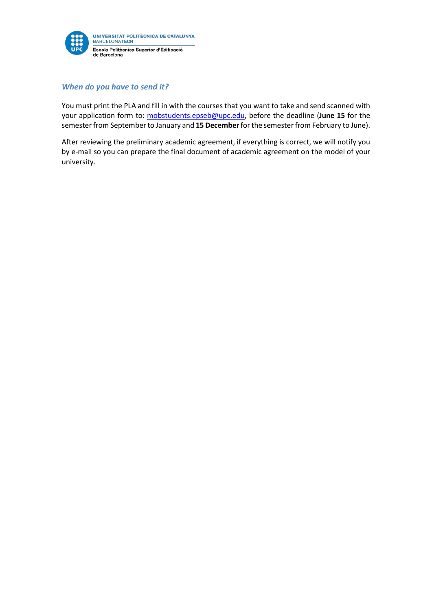

### *When do you have to send it?*

You must print the PLA and fill in with the courses that you want to take and send scanned with your application form to: mobstudents.epseb@upc.edu, before the deadline (**June 15** for the semester from September to January and **15 December**for the semester from February to June).

After reviewing the preliminary academic agreement, if everything is correct, we will notify you by e-mail so you can prepare the final document of academic agreement on the model of your university.